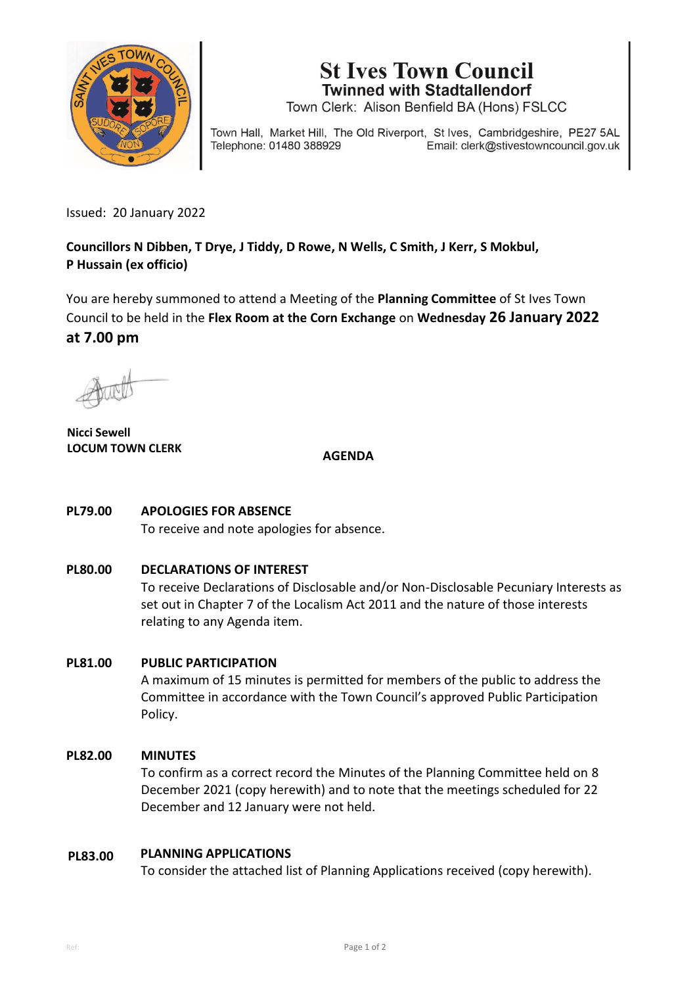

**St Ives Town Council Twinned with Stadtallendorf** 

Town Clerk: Alison Benfield BA (Hons) FSLCC

Town Hall, Market Hill, The Old Riverport, St Ives, Cambridgeshire, PE27 5AL Telephone: 01480 388929 Email: clerk@stivestowncouncil.gov.uk

Issued: 20 January 2022

**Councillors N Dibben, T Drye, J Tiddy, D Rowe, N Wells, C Smith, J Kerr, S Mokbul, P Hussain (ex officio)** 

You are hereby summoned to attend a Meeting of the **Planning Committee** of St Ives Town Council to be held in the **Flex Room at the Corn Exchange** on **Wednesday 26 January 2022 at 7.00 pm**

**Nicci Sewell** LOCUM TOWN CLERK **AGENDA** 

#### **PL79.00 APOLOGIES FOR ABSENCE**

To receive and note apologies for absence.

#### **PL80.00 DECLARATIONS OF INTEREST**

To receive Declarations of Disclosable and/or Non-Disclosable Pecuniary Interests as set out in Chapter 7 of the Localism Act 2011 and the nature of those interests relating to any Agenda item.

#### **PL81.00 PUBLIC PARTICIPATION**

A maximum of 15 minutes is permitted for members of the public to address the Committee in accordance with the Town Council's approved Public Participation Policy.

#### **PL82.00 MINUTES**

To confirm as a correct record the Minutes of the Planning Committee held on 8 December 2021 (copy herewith) and to note that the meetings scheduled for 22 December and 12 January were not held.

#### **PL83.00 PLANNING APPLICATIONS**

To consider the attached list of Planning Applications received (copy herewith).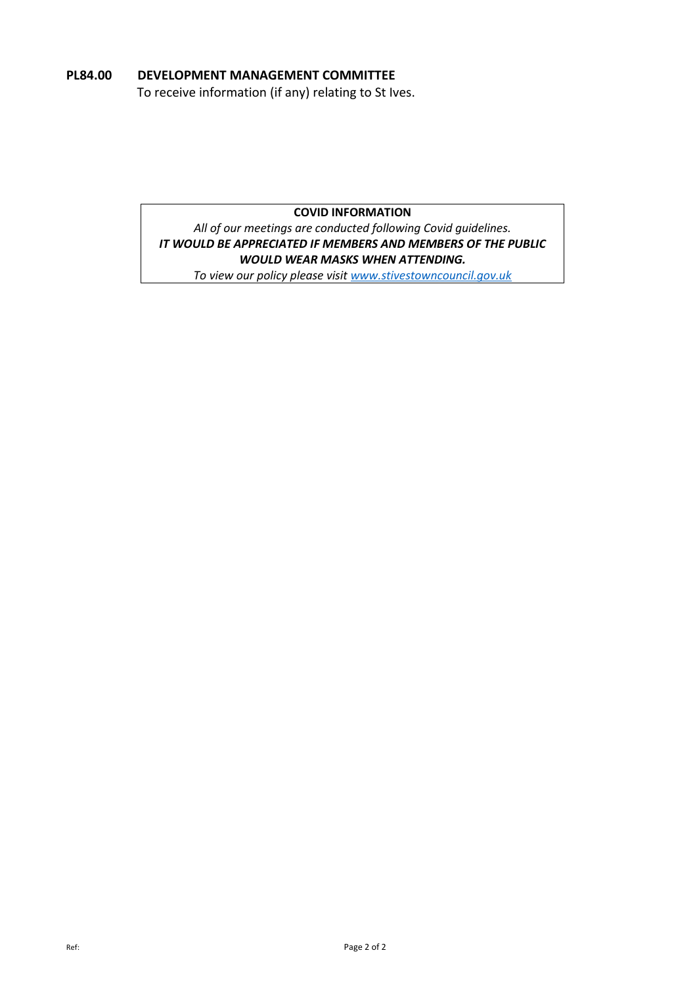# **PL84.00 DEVELOPMENT MANAGEMENT COMMITTEE**

To receive information (if any) relating to St Ives.

# **COVID INFORMATION**

*All of our meetings are conducted following Covid guidelines. IT WOULD BE APPRECIATED IF MEMBERS AND MEMBERS OF THE PUBLIC WOULD WEAR MASKS WHEN ATTENDING.*

*To view our policy please visit [www.stivestowncouncil.gov.uk](http://www.stivestowncouncil.gov.uk/)*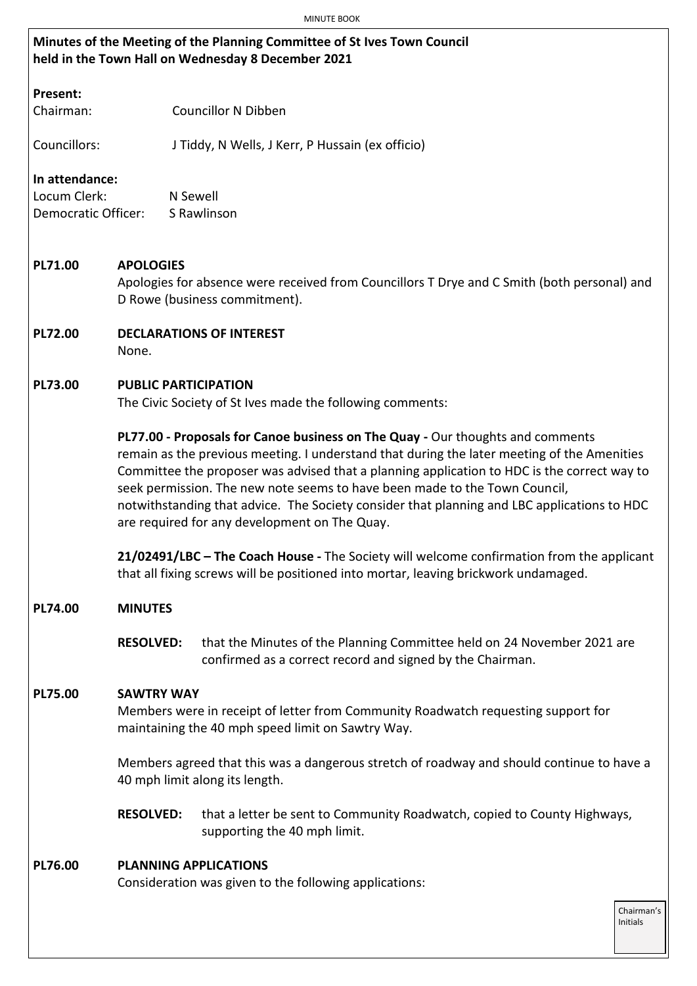# **Minutes of the Meeting of the Planning Committee of St Ives Town Council held in the Town Hall on Wednesday 8 December 2021**

# **Present:**

Chairman: Councillor N Dibben

Councillors: J Tiddy, N Wells, J Kerr, P Hussain (ex officio)

# **In attendance:**

Locum Clerk: N Sewell Democratic Officer: S Rawlinson

### **PL71.00 APOLOGIES**

Apologies for absence were received from Councillors T Drye and C Smith (both personal) and D Rowe (business commitment).

**PL72.00 DECLARATIONS OF INTEREST** None.

### **PL73.00 PUBLIC PARTICIPATION**

The Civic Society of St Ives made the following comments:

**PL77.00 - Proposals for Canoe business on The Quay -** Our thoughts and comments remain as the previous meeting. I understand that during the later meeting of the Amenities Committee the proposer was advised that a planning application to HDC is the correct way to seek permission. The new note seems to have been made to the Town Council, notwithstanding that advice. The Society consider that planning and LBC applications to HDC are required for any development on The Quay.

**21/02491/LBC – The Coach House -** The Society will welcome confirmation from the applicant that all fixing screws will be positioned into mortar, leaving brickwork undamaged.

### **PL74.00 MINUTES**

**RESOLVED:** that the Minutes of the Planning Committee held on 24 November 2021 are confirmed as a correct record and signed by the Chairman.

### **PL75.00 SAWTRY WAY**

Members were in receipt of letter from Community Roadwatch requesting support for maintaining the 40 mph speed limit on Sawtry Way.

Members agreed that this was a dangerous stretch of roadway and should continue to have a 40 mph limit along its length.

**RESOLVED:** that a letter be sent to Community Roadwatch, copied to County Highways, supporting the 40 mph limit.

# **PL76.00 PLANNING APPLICATIONS**

Consideration was given to the following applications: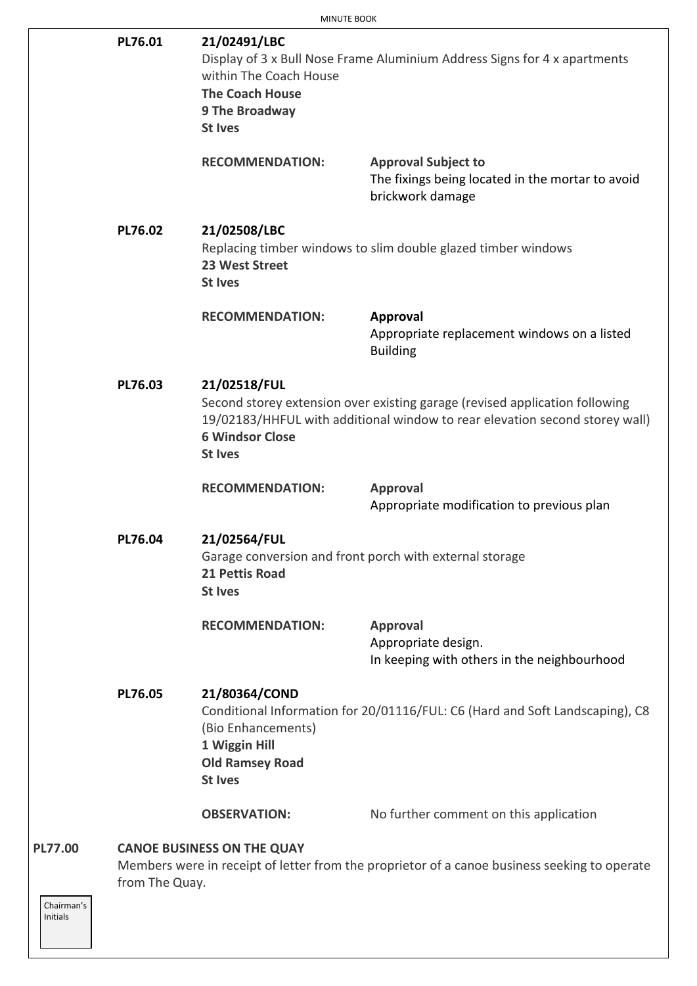|                | PL76.01        | 21/02491/LBC<br>Display of 3 x Bull Nose Frame Aluminium Address Signs for 4 x apartments<br>within The Coach House<br><b>The Coach House</b><br>9 The Broadway<br><b>St Ives</b> |                                                                                                                                                            |  |
|----------------|----------------|-----------------------------------------------------------------------------------------------------------------------------------------------------------------------------------|------------------------------------------------------------------------------------------------------------------------------------------------------------|--|
|                |                | <b>RECOMMENDATION:</b>                                                                                                                                                            | <b>Approval Subject to</b><br>The fixings being located in the mortar to avoid<br>brickwork damage                                                         |  |
|                | <b>PL76.02</b> | 21/02508/LBC<br>23 West Street<br><b>St Ives</b>                                                                                                                                  | Replacing timber windows to slim double glazed timber windows                                                                                              |  |
|                |                | <b>RECOMMENDATION:</b>                                                                                                                                                            | <b>Approval</b><br>Appropriate replacement windows on a listed<br><b>Building</b>                                                                          |  |
|                | PL76.03        | 21/02518/FUL<br><b>6 Windsor Close</b><br><b>St Ives</b>                                                                                                                          | Second storey extension over existing garage (revised application following<br>19/02183/HHFUL with additional window to rear elevation second storey wall) |  |
|                |                | <b>RECOMMENDATION:</b>                                                                                                                                                            | <b>Approval</b><br>Appropriate modification to previous plan                                                                                               |  |
|                | PL76.04        | 21/02564/FUL<br>21 Pettis Road<br><b>St Ives</b>                                                                                                                                  | Garage conversion and front porch with external storage                                                                                                    |  |
|                |                | <b>RECOMMENDATION:</b>                                                                                                                                                            | <b>Approval</b><br>Appropriate design.<br>In keeping with others in the neighbourhood                                                                      |  |
|                | PL76.05        | 21/80364/COND<br>(Bio Enhancements)<br>1 Wiggin Hill<br><b>Old Ramsey Road</b><br><b>St Ives</b>                                                                                  | Conditional Information for 20/01116/FUL: C6 (Hard and Soft Landscaping), C8                                                                               |  |
|                |                | <b>OBSERVATION:</b>                                                                                                                                                               | No further comment on this application                                                                                                                     |  |
| <b>PL77.00</b> | from The Quay. | <b>CANOE BUSINESS ON THE QUAY</b>                                                                                                                                                 | Members were in receipt of letter from the proprietor of a canoe business seeking to operate                                                               |  |

Chairman's Initials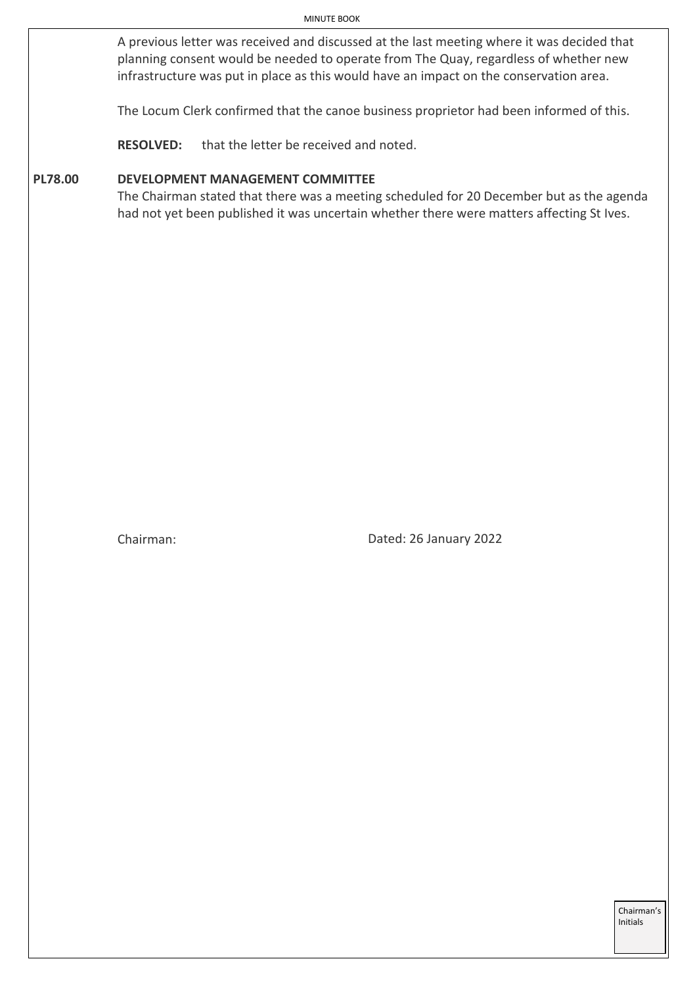A previous letter was received and discussed at the last meeting where it was decided that planning consent would be needed to operate from The Quay, regardless of whether new infrastructure was put in place as this would have an impact on the conservation area.

The Locum Clerk confirmed that the canoe business proprietor had been informed of this.

**RESOLVED:** that the letter be received and noted.

### **PL78.00 DEVELOPMENT MANAGEMENT COMMITTEE**

The Chairman stated that there was a meeting scheduled for 20 December but as the agenda had not yet been published it was uncertain whether there were matters affecting St Ives.

Chairman: Dated: 26 January 2022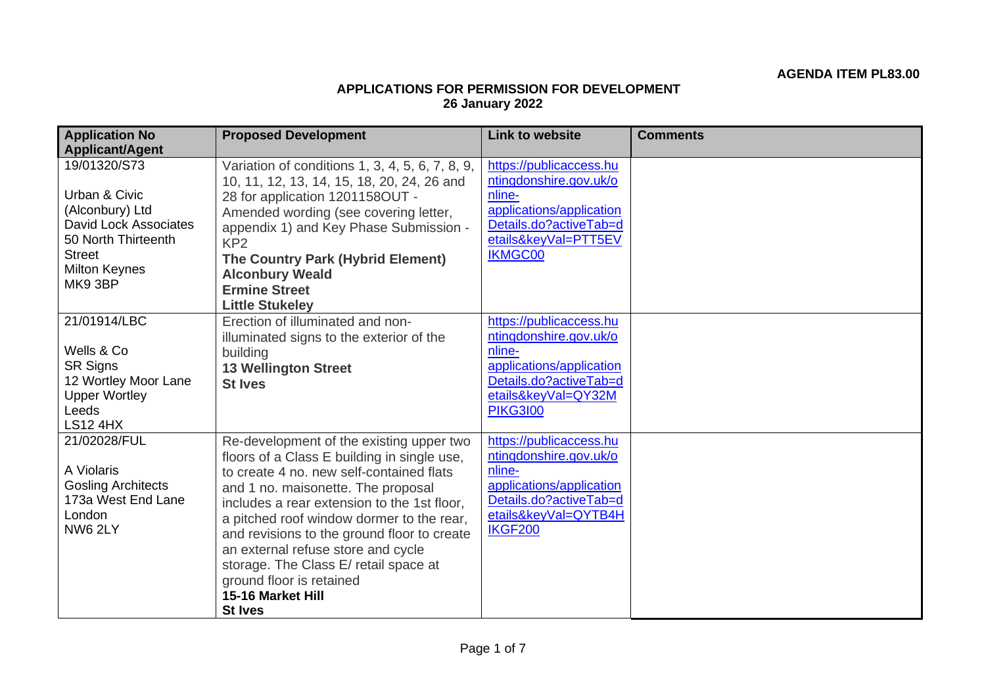# **APPLICATIONS FOR PERMISSION FOR DEVELOPMENT 26 January 2022**

| <b>Application No</b><br><b>Applicant/Agent</b>                                                                                                            | <b>Proposed Development</b>                                                                                                                                                                                                                                                                                                                                                                                                                                            | <b>Link to website</b>                                                                                                                                      | <b>Comments</b> |
|------------------------------------------------------------------------------------------------------------------------------------------------------------|------------------------------------------------------------------------------------------------------------------------------------------------------------------------------------------------------------------------------------------------------------------------------------------------------------------------------------------------------------------------------------------------------------------------------------------------------------------------|-------------------------------------------------------------------------------------------------------------------------------------------------------------|-----------------|
| 19/01320/S73<br>Urban & Civic<br>(Alconbury) Ltd<br><b>David Lock Associates</b><br>50 North Thirteenth<br><b>Street</b><br><b>Milton Keynes</b><br>MK93BP | Variation of conditions 1, 3, 4, 5, 6, 7, 8, 9,<br>10, 11, 12, 13, 14, 15, 18, 20, 24, 26 and<br>28 for application 1201158OUT -<br>Amended wording (see covering letter,<br>appendix 1) and Key Phase Submission -<br>KP <sub>2</sub><br>The Country Park (Hybrid Element)<br><b>Alconbury Weald</b><br><b>Ermine Street</b><br><b>Little Stukeley</b>                                                                                                                | https://publicaccess.hu<br>ntingdonshire.gov.uk/o<br>nline-<br>applications/application<br>Details.do?activeTab=d<br>etails&keyVal=PTT5EV<br><b>IKMGC00</b> |                 |
| 21/01914/LBC<br>Wells & Co<br><b>SR Signs</b><br>12 Wortley Moor Lane<br><b>Upper Wortley</b><br>Leeds<br><b>LS12 4HX</b>                                  | Erection of illuminated and non-<br>illuminated signs to the exterior of the<br>building<br><b>13 Wellington Street</b><br><b>St Ives</b>                                                                                                                                                                                                                                                                                                                              | https://publicaccess.hu<br>ntingdonshire.gov.uk/o<br>nline-<br>applications/application<br>Details.do?activeTab=d<br>etails&keyVal=QY32M<br><b>PIKG3100</b> |                 |
| 21/02028/FUL<br>A Violaris<br><b>Gosling Architects</b><br>173a West End Lane<br>London<br>NW6 2LY                                                         | Re-development of the existing upper two<br>floors of a Class E building in single use,<br>to create 4 no. new self-contained flats<br>and 1 no. maisonette. The proposal<br>includes a rear extension to the 1st floor,<br>a pitched roof window dormer to the rear,<br>and revisions to the ground floor to create<br>an external refuse store and cycle<br>storage. The Class E/ retail space at<br>ground floor is retained<br>15-16 Market Hill<br><b>St Ives</b> | https://publicaccess.hu<br>ntingdonshire.gov.uk/o<br>nline-<br>applications/application<br>Details.do?activeTab=d<br>etails&keyVal=QYTB4H<br><b>IKGF200</b> |                 |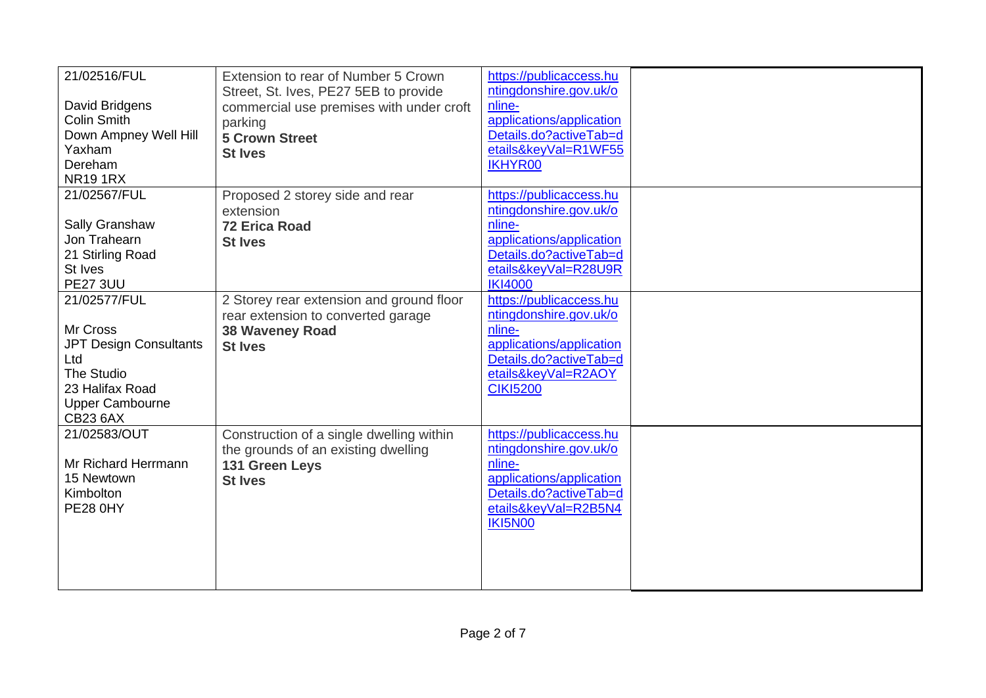| 21/02516/FUL                  | Extension to rear of Number 5 Crown<br>Street, St. Ives, PE27 5EB to provide | https://publicaccess.hu<br>ntingdonshire.gov.uk/o |  |
|-------------------------------|------------------------------------------------------------------------------|---------------------------------------------------|--|
| David Bridgens                | commercial use premises with under croft                                     | nline-                                            |  |
| <b>Colin Smith</b>            | parking                                                                      | applications/application                          |  |
| Down Ampney Well Hill         | <b>5 Crown Street</b>                                                        | Details.do?activeTab=d                            |  |
| Yaxham                        | <b>St Ives</b>                                                               | etails&keyVal=R1WF55                              |  |
| Dereham                       |                                                                              | <b>IKHYR00</b>                                    |  |
| <b>NR191RX</b>                |                                                                              |                                                   |  |
| 21/02567/FUL                  | Proposed 2 storey side and rear                                              | https://publicaccess.hu                           |  |
|                               | extension                                                                    | ntingdonshire.gov.uk/o                            |  |
| Sally Granshaw                | <b>72 Erica Road</b>                                                         | nline-                                            |  |
| Jon Trahearn                  | <b>St Ives</b>                                                               | applications/application                          |  |
| 21 Stirling Road              |                                                                              | Details.do?activeTab=d                            |  |
| St Ives<br><b>PE27 3UU</b>    |                                                                              | etails&keyVal=R28U9R<br><b>IKI4000</b>            |  |
| 21/02577/FUL                  | 2 Storey rear extension and ground floor                                     | https://publicaccess.hu                           |  |
|                               | rear extension to converted garage                                           | ntingdonshire.gov.uk/o                            |  |
| Mr Cross                      | <b>38 Waveney Road</b>                                                       | nline-                                            |  |
| <b>JPT Design Consultants</b> | <b>St Ives</b>                                                               | applications/application                          |  |
| Ltd                           |                                                                              | Details.do?activeTab=d                            |  |
| The Studio                    |                                                                              | etails&keyVal=R2AOY                               |  |
| 23 Halifax Road               |                                                                              | <b>CIKI5200</b>                                   |  |
| <b>Upper Cambourne</b>        |                                                                              |                                                   |  |
| <b>CB23 6AX</b>               |                                                                              |                                                   |  |
| 21/02583/OUT                  | Construction of a single dwelling within                                     | https://publicaccess.hu                           |  |
|                               | the grounds of an existing dwelling                                          | ntingdonshire.gov.uk/o                            |  |
| Mr Richard Herrmann           | 131 Green Leys                                                               | nline-                                            |  |
| 15 Newtown                    | <b>St Ives</b>                                                               | applications/application                          |  |
| Kimbolton<br><b>PE28 0HY</b>  |                                                                              | Details.do?activeTab=d                            |  |
|                               |                                                                              | etails&keyVal=R2B5N4<br><b>IKI5N00</b>            |  |
|                               |                                                                              |                                                   |  |
|                               |                                                                              |                                                   |  |
|                               |                                                                              |                                                   |  |
|                               |                                                                              |                                                   |  |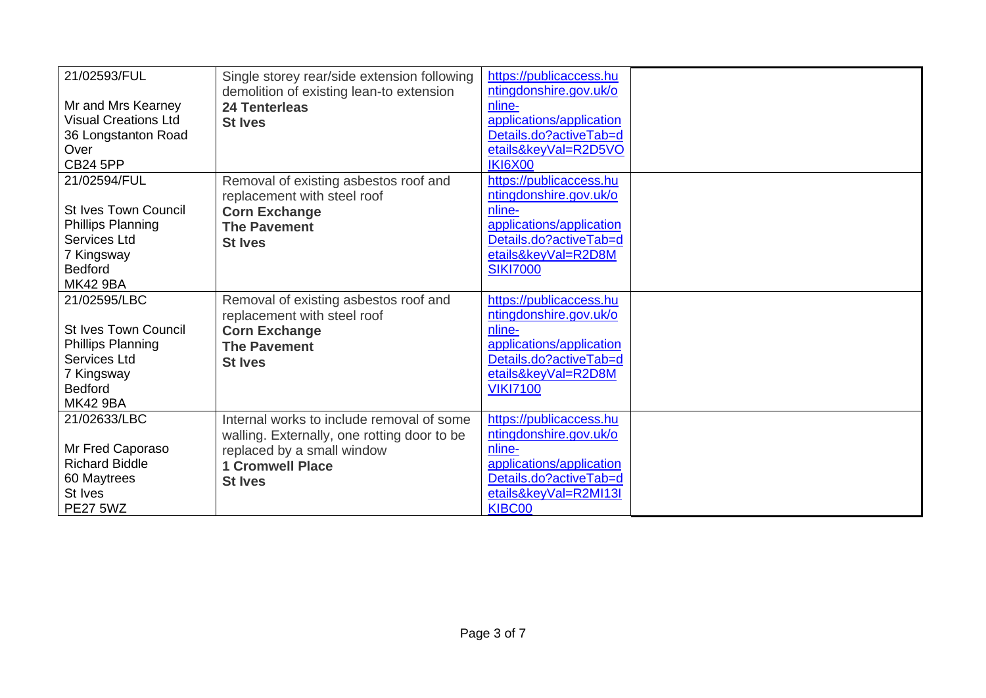| 21/02593/FUL                | Single storey rear/side extension following | https://publicaccess.hu  |  |
|-----------------------------|---------------------------------------------|--------------------------|--|
|                             | demolition of existing lean-to extension    | ntingdonshire.gov.uk/o   |  |
| Mr and Mrs Kearney          | <b>24 Tenterleas</b>                        | nline-                   |  |
| <b>Visual Creations Ltd</b> | <b>St Ives</b>                              | applications/application |  |
| 36 Longstanton Road         |                                             | Details.do?activeTab=d   |  |
| Over                        |                                             | etails&keyVal=R2D5VO     |  |
| <b>CB24 5PP</b>             |                                             | <b>IKI6X00</b>           |  |
| 21/02594/FUL                | Removal of existing asbestos roof and       | https://publicaccess.hu  |  |
|                             | replacement with steel roof                 | ntingdonshire.gov.uk/o   |  |
| <b>St Ives Town Council</b> | <b>Corn Exchange</b>                        | nline-                   |  |
| <b>Phillips Planning</b>    | <b>The Pavement</b>                         | applications/application |  |
| Services Ltd                | <b>St Ives</b>                              | Details.do?activeTab=d   |  |
| 7 Kingsway                  |                                             | etails&keyVal=R2D8M      |  |
| <b>Bedford</b>              |                                             | <b>SIKI7000</b>          |  |
| <b>MK42 9BA</b>             |                                             |                          |  |
| 21/02595/LBC                | Removal of existing asbestos roof and       | https://publicaccess.hu  |  |
|                             | replacement with steel roof                 | ntingdonshire.gov.uk/o   |  |
| <b>St Ives Town Council</b> | <b>Corn Exchange</b>                        | nline-                   |  |
| <b>Phillips Planning</b>    | <b>The Pavement</b>                         | applications/application |  |
| Services Ltd                | <b>St Ives</b>                              | Details.do?activeTab=d   |  |
| 7 Kingsway                  |                                             | etails&keyVal=R2D8M      |  |
| <b>Bedford</b>              |                                             | <b>VIKI7100</b>          |  |
| <b>MK42 9BA</b>             |                                             |                          |  |
| 21/02633/LBC                | Internal works to include removal of some   | https://publicaccess.hu  |  |
|                             | walling. Externally, one rotting door to be | ntingdonshire.gov.uk/o   |  |
| Mr Fred Caporaso            | replaced by a small window                  | nline-                   |  |
| <b>Richard Biddle</b>       | <b>1 Cromwell Place</b>                     | applications/application |  |
| 60 Maytrees                 | <b>St Ives</b>                              | Details.do?activeTab=d   |  |
| St Ives                     |                                             | etails&keyVal=R2MI13I    |  |
| <b>PE27 5WZ</b>             |                                             | KIBC00                   |  |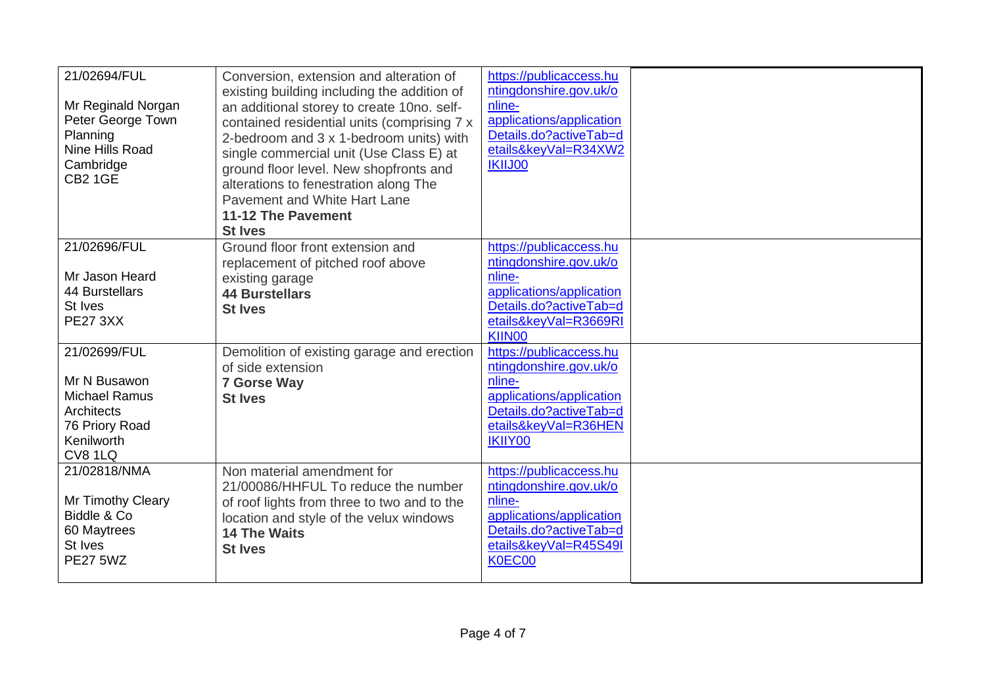| 21/02694/FUL<br>Mr Reginald Norgan<br>Peter George Town<br>Planning<br>Nine Hills Road<br>Cambridge<br><b>CB2 1GE</b> | Conversion, extension and alteration of<br>existing building including the addition of<br>an additional storey to create 10no. self-<br>contained residential units (comprising 7 x<br>2-bedroom and 3 x 1-bedroom units) with<br>single commercial unit (Use Class E) at<br>ground floor level. New shopfronts and<br>alterations to fenestration along The<br>Pavement and White Hart Lane<br>11-12 The Pavement<br><b>St Ives</b> | https://publicaccess.hu<br>ntingdonshire.gov.uk/o<br>nline-<br>applications/application<br>Details.do?activeTab=d<br>etails&keyVal=R34XW2<br><b>IKIIJ00</b> |  |
|-----------------------------------------------------------------------------------------------------------------------|--------------------------------------------------------------------------------------------------------------------------------------------------------------------------------------------------------------------------------------------------------------------------------------------------------------------------------------------------------------------------------------------------------------------------------------|-------------------------------------------------------------------------------------------------------------------------------------------------------------|--|
| 21/02696/FUL<br>Mr Jason Heard<br>44 Burstellars<br>St Ives<br><b>PE27 3XX</b>                                        | Ground floor front extension and<br>replacement of pitched roof above<br>existing garage<br><b>44 Burstellars</b><br><b>St Ives</b>                                                                                                                                                                                                                                                                                                  | https://publicaccess.hu<br>ntingdonshire.gov.uk/o<br>nline-<br>applications/application<br>Details.do?activeTab=d<br>etails&keyVal=R3669RI<br>KIIN00        |  |
| 21/02699/FUL<br>Mr N Busawon<br><b>Michael Ramus</b><br>Architects<br>76 Priory Road<br>Kenilworth<br>CV8 1LQ         | Demolition of existing garage and erection<br>of side extension<br><b>7 Gorse Way</b><br><b>St Ives</b>                                                                                                                                                                                                                                                                                                                              | https://publicaccess.hu<br>ntingdonshire.gov.uk/o<br>nline-<br>applications/application<br>Details.do?activeTab=d<br>etails&keyVal=R36HEN<br><b>IKIIY00</b> |  |
| 21/02818/NMA<br>Mr Timothy Cleary<br>Biddle & Co<br>60 Maytrees<br>St Ives<br><b>PE27 5WZ</b>                         | Non material amendment for<br>21/00086/HHFUL To reduce the number<br>of roof lights from three to two and to the<br>location and style of the velux windows<br><b>14 The Waits</b><br><b>St Ives</b>                                                                                                                                                                                                                                 | https://publicaccess.hu<br>ntingdonshire.gov.uk/o<br>nline-<br>applications/application<br>Details.do?activeTab=d<br>etails&keyVal=R45S49I<br>K0EC00        |  |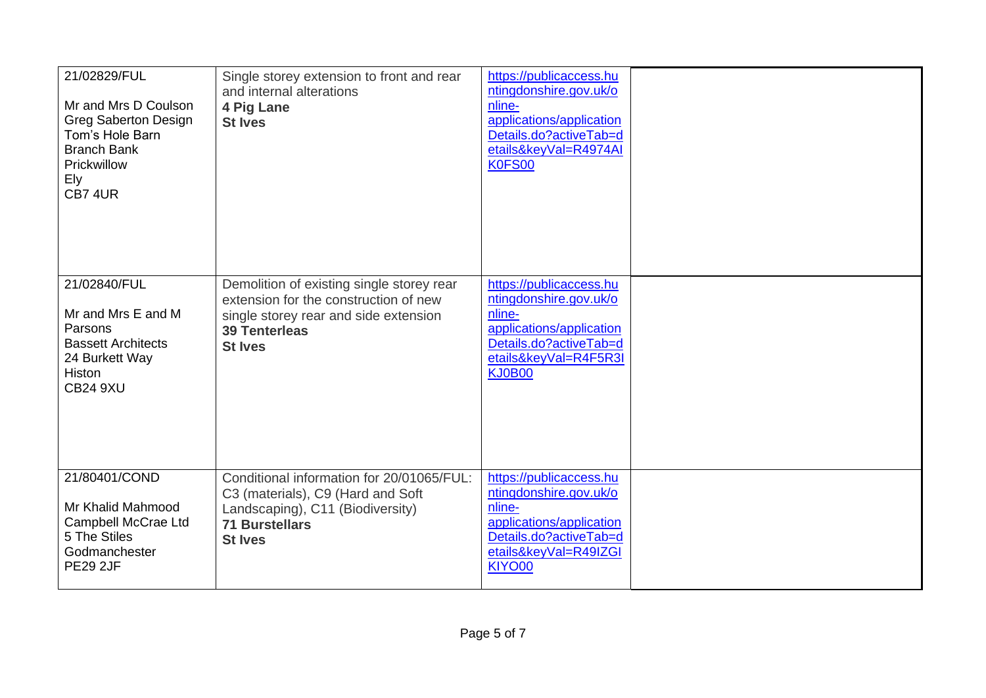| 21/02829/FUL<br>Mr and Mrs D Coulson<br><b>Greg Saberton Design</b><br>Tom's Hole Barn<br><b>Branch Bank</b><br>Prickwillow<br>Ely<br>CB7 4UR | Single storey extension to front and rear<br>and internal alterations<br>4 Pig Lane<br><b>St Ives</b>                                                                 | https://publicaccess.hu<br>ntingdonshire.gov.uk/o<br>nline-<br>applications/application<br>Details.do?activeTab=d<br>etails&keyVal=R4974AI<br>K0FS00        |  |
|-----------------------------------------------------------------------------------------------------------------------------------------------|-----------------------------------------------------------------------------------------------------------------------------------------------------------------------|-------------------------------------------------------------------------------------------------------------------------------------------------------------|--|
| 21/02840/FUL<br>Mr and Mrs E and M<br>Parsons<br><b>Bassett Architects</b><br>24 Burkett Way<br>Histon<br><b>CB24 9XU</b>                     | Demolition of existing single storey rear<br>extension for the construction of new<br>single storey rear and side extension<br><b>39 Tenterleas</b><br><b>St Ives</b> | https://publicaccess.hu<br>ntingdonshire.gov.uk/o<br>nline-<br>applications/application<br>Details.do?activeTab=d<br>etails&keyVal=R4F5R3I<br><b>KJ0B00</b> |  |
| 21/80401/COND<br>Mr Khalid Mahmood<br>Campbell McCrae Ltd<br>5 The Stiles<br>Godmanchester<br><b>PE29 2JF</b>                                 | Conditional information for 20/01065/FUL:<br>C3 (materials), C9 (Hard and Soft<br>Landscaping), C11 (Biodiversity)<br><b>71 Burstellars</b><br><b>St Ives</b>         | https://publicaccess.hu<br>ntingdonshire.gov.uk/o<br>nline-<br>applications/application<br>Details.do?activeTab=d<br>etails&keyVal=R49IZGI<br>KIYO00        |  |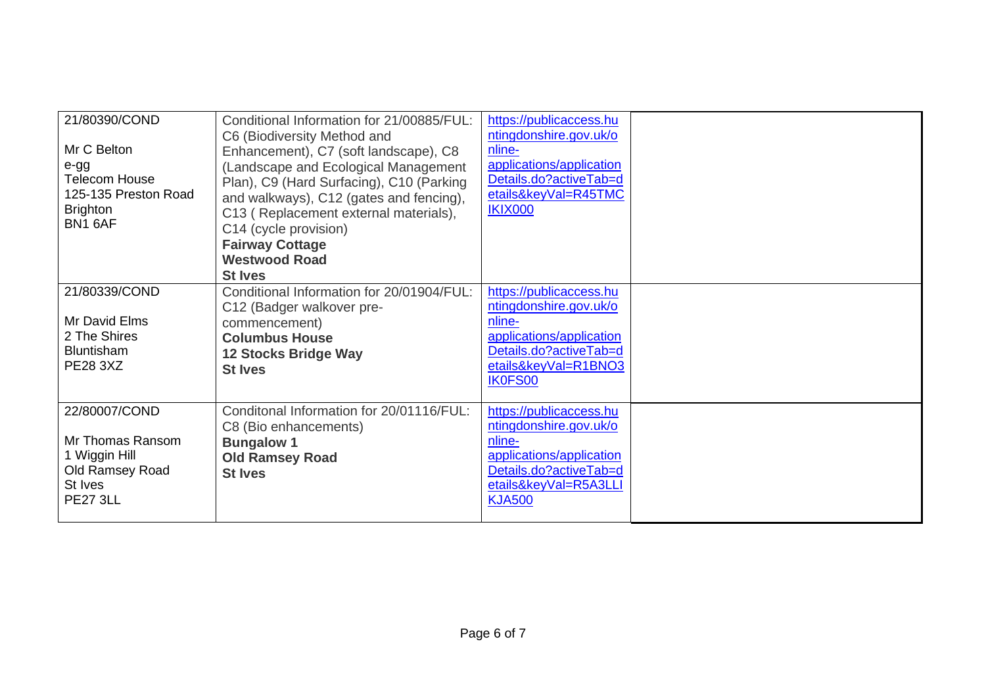| 21/80390/COND<br>Mr C Belton<br>e-gg<br><b>Telecom House</b><br>125-135 Preston Road<br><b>Brighton</b><br>BN1 6AF | Conditional Information for 21/00885/FUL:<br>C6 (Biodiversity Method and<br>Enhancement), C7 (soft landscape), C8<br>(Landscape and Ecological Management<br>Plan), C9 (Hard Surfacing), C10 (Parking<br>and walkways), C12 (gates and fencing),<br>C13 (Replacement external materials),<br>C14 (cycle provision)<br><b>Fairway Cottage</b><br><b>Westwood Road</b><br><b>St Ives</b> | https://publicaccess.hu<br>ntingdonshire.gov.uk/o<br>nline-<br>applications/application<br>Details.do?activeTab=d<br>etails&keyVal=R45TMC<br><b>IKIX000</b> |  |
|--------------------------------------------------------------------------------------------------------------------|----------------------------------------------------------------------------------------------------------------------------------------------------------------------------------------------------------------------------------------------------------------------------------------------------------------------------------------------------------------------------------------|-------------------------------------------------------------------------------------------------------------------------------------------------------------|--|
| 21/80339/COND<br>Mr David Elms<br>2 The Shires<br><b>Bluntisham</b><br><b>PE28 3XZ</b>                             | Conditional Information for 20/01904/FUL:<br>C12 (Badger walkover pre-<br>commencement)<br><b>Columbus House</b><br><b>12 Stocks Bridge Way</b><br><b>St Ives</b>                                                                                                                                                                                                                      | https://publicaccess.hu<br>ntingdonshire.gov.uk/o<br>nline-<br>applications/application<br>Details.do?activeTab=d<br>etails&keyVal=R1BNO3<br>IK0FS00        |  |
| 22/80007/COND<br>Mr Thomas Ransom<br>1 Wiggin Hill<br>Old Ramsey Road<br>St Ives<br><b>PE27 3LL</b>                | Conditonal Information for 20/01116/FUL:<br>C8 (Bio enhancements)<br><b>Bungalow 1</b><br><b>Old Ramsey Road</b><br><b>St Ives</b>                                                                                                                                                                                                                                                     | https://publicaccess.hu<br>ntingdonshire.gov.uk/o<br>nline-<br>applications/application<br>Details.do?activeTab=d<br>etails&keyVal=R5A3LLI<br><b>KJA500</b> |  |